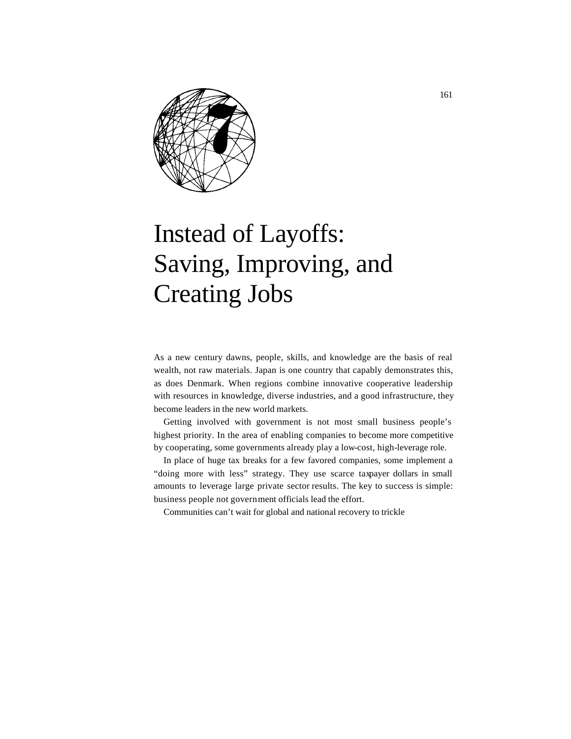

# Instead of Layoffs: Saving, Improving, and Creating Jobs

As a new century dawns, people, skills, and knowledge are the basis of real wealth, not raw materials. Japan is one country that capably demonstrates this, as does Denmark. When regions combine innovative cooperative leadership with resources in knowledge, diverse industries, and a good infrastructure, they become leaders in the new world markets.

Getting involved with government is not most small business people's highest priority. In the area of enabling companies to become more competitive by cooperating, some governments already play a low-cost, high-leverage role.

In place of huge tax breaks for a few favored companies, some implement a "doing more with less" strategy. They use scarce taxpayer dollars in small amounts to leverage large private sector results. The key to success is simple: business people not government officials lead the effort.

Communities can't wait for global and national recovery to trickle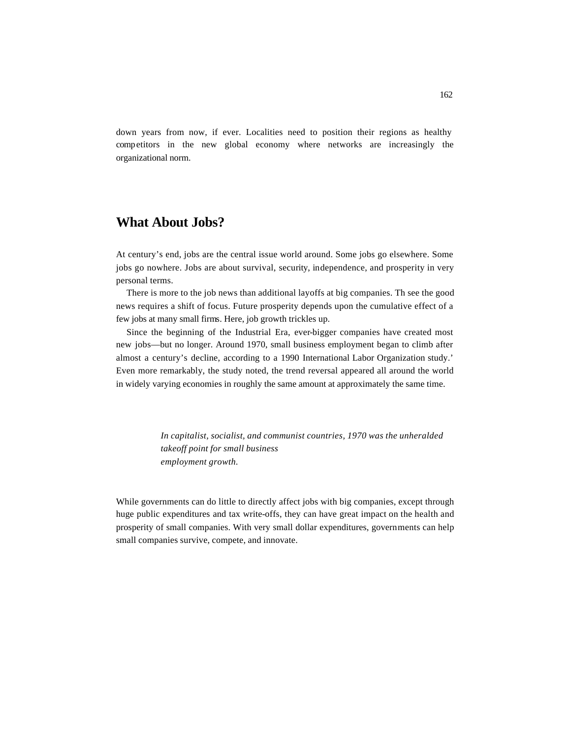down years from now, if ever. Localities need to position their regions as healthy competitors in the new global economy where networks are increasingly the organizational norm.

# **What About Jobs?**

At century's end, jobs are the central issue world around. Some jobs go elsewhere. Some jobs go nowhere. Jobs are about survival, security, independence, and prosperity in very personal terms.

There is more to the job news than additional layoffs at big companies. Th see the good news requires a shift of focus. Future prosperity depends upon the cumulative effect of a few jobs at many small firms. Here, job growth trickles up.

Since the beginning of the Industrial Era, ever-bigger companies have created most new jobs—but no longer. Around 1970, small business employment began to climb after almost a century's decline, according to a 1990 International Labor Organization study.' Even more remarkably, the study noted, the trend reversal appeared all around the world in widely varying economies in roughly the same amount at approximately the same time.

> *In capitalist, socialist, and communist countries, 1970 was the unheralded takeoff point for small business employment growth.*

While governments can do little to directly affect jobs with big companies, except through huge public expenditures and tax write-offs, they can have great impact on the health and prosperity of small companies. With very small dollar expenditures, governments can help small companies survive, compete, and innovate.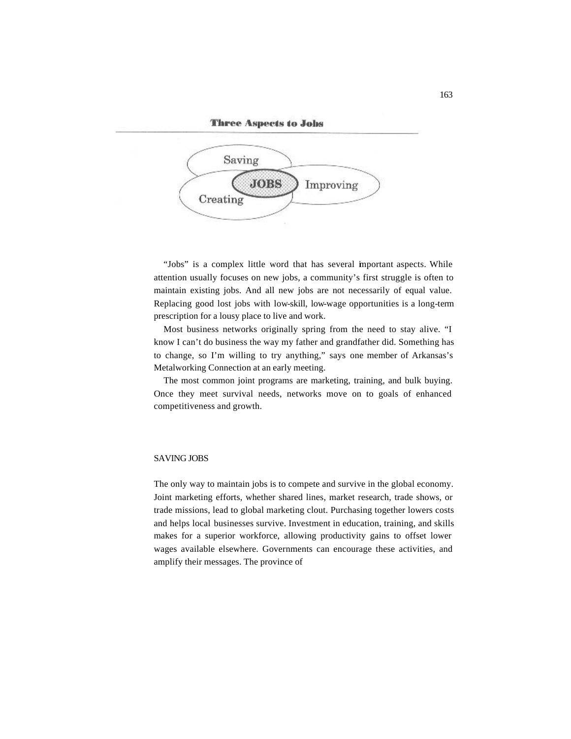# **Three Aspects to Jobs**



"Jobs" is a complex little word that has several important aspects. While attention usually focuses on new jobs, a community's first struggle is often to maintain existing jobs. And all new jobs are not necessarily of equal value. Replacing good lost jobs with low-skill, low-wage opportunities is a long-term prescription for a lousy place to live and work.

Most business networks originally spring from the need to stay alive. "I know I can't do business the way my father and grandfather did. Something has to change, so I'm willing to try anything," says one member of Arkansas's Metalworking Connection at an early meeting.

The most common joint programs are marketing, training, and bulk buying. Once they meet survival needs, networks move on to goals of enhanced competitiveness and growth.

#### SAVING JOBS

The only way to maintain jobs is to compete and survive in the global economy. Joint marketing efforts, whether shared lines, market research, trade shows, or trade missions, lead to global marketing clout. Purchasing together lowers costs and helps local businesses survive. Investment in education, training, and skills makes for a superior workforce, allowing productivity gains to offset lower wages available elsewhere. Governments can encourage these activities, and amplify their messages. The province of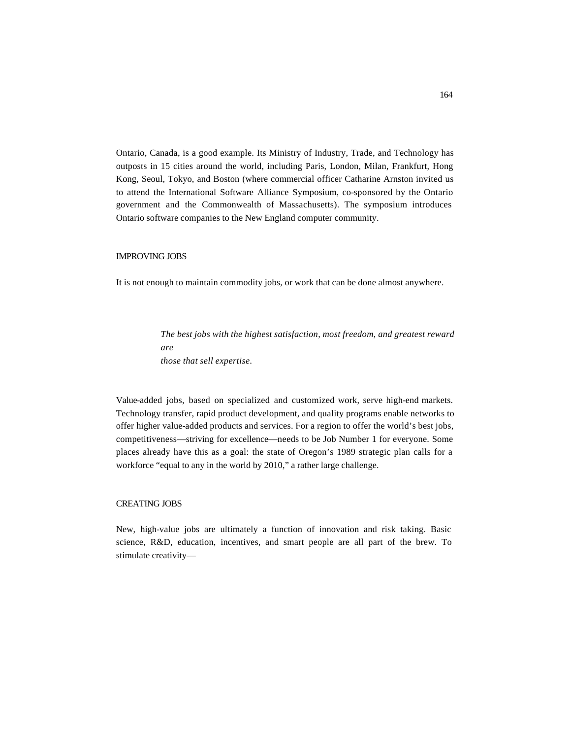Ontario, Canada, is a good example. Its Ministry of Industry, Trade, and Technology has outposts in 15 cities around the world, including Paris, London, Milan, Frankfurt, Hong Kong, Seoul, Tokyo, and Boston (where commercial officer Catharine Arnston invited us to attend the International Software Alliance Symposium, co-sponsored by the Ontario government and the Commonwealth of Massachusetts). The symposium introduces Ontario software companies to the New England computer community.

## IMPROVING JOBS

It is not enough to maintain commodity jobs, or work that can be done almost anywhere.

*The best jobs with the highest satisfaction, most freedom, and greatest reward are those that sell expertise.*

Value-added jobs, based on specialized and customized work, serve high-end markets. Technology transfer, rapid product development, and quality programs enable networks to offer higher value-added products and services. For a region to offer the world's best jobs, competitiveness—striving for excellence—needs to be Job Number 1 for everyone. Some places already have this as a goal: the state of Oregon's 1989 strategic plan calls for a workforce "equal to any in the world by 2010," a rather large challenge.

# CREATING JOBS

New, high-value jobs are ultimately a function of innovation and risk taking. Basic science, R&D, education, incentives, and smart people are all part of the brew. To stimulate creativity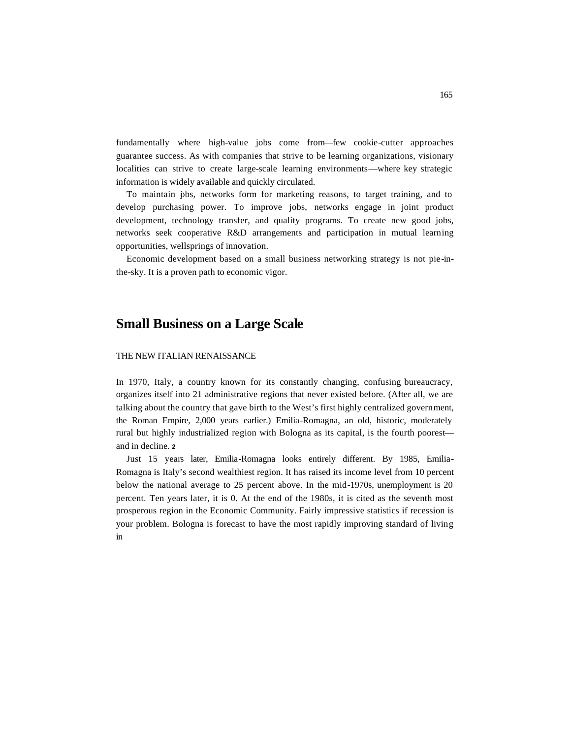fundamentally where high-value jobs come from—few cookie-cutter approaches guarantee success. As with companies that strive to be learning organizations, visionary localities can strive to create large-scale learning environments—where key strategic information is widely available and quickly circulated.

To maintain jobs, networks form for marketing reasons, to target training, and to develop purchasing power. To improve jobs, networks engage in joint product development, technology transfer, and quality programs. To create new good jobs, networks seek cooperative R&D arrangements and participation in mutual learning opportunities, wellsprings of innovation.

Economic development based on a small business networking strategy is not pie-inthe-sky. It is a proven path to economic vigor.

# **Small Business on a Large Scale**

# THE NEW ITALIAN RENAISSANCE

In 1970, Italy, a country known for its constantly changing, confusing bureaucracy, organizes itself into 21 administrative regions that never existed before. (After all, we are talking about the country that gave birth to the West's first highly centralized government, the Roman Empire, 2,000 years earlier.) Emilia-Romagna, an old, historic, moderately rural but highly industrialized region with Bologna as its capital, is the fourth poorest and in decline. **<sup>2</sup>**

Just 15 years later, Emilia-Romagna looks entirely different. By 1985, Emilia-Romagna is Italy's second wealthiest region. It has raised its income level from 10 percent below the national average to 25 percent above. In the mid-1970s, unemployment is 20 percent. Ten years later, it is 0. At the end of the 1980s, it is cited as the seventh most prosperous region in the Economic Community. Fairly impressive statistics if recession is your problem. Bologna is forecast to have the most rapidly improving standard of living in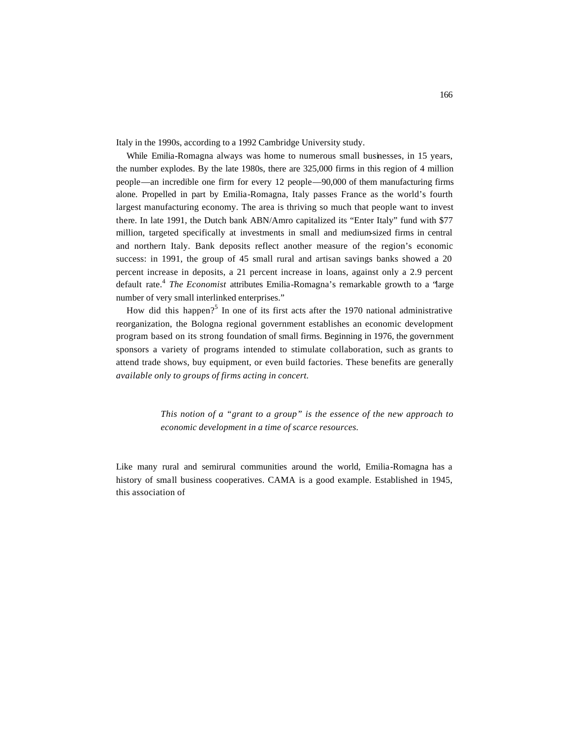Italy in the 1990s, according to a 1992 Cambridge University study.

While Emilia-Romagna always was home to numerous small businesses, in 15 years, the number explodes. By the late 1980s, there are 325,000 firms in this region of 4 million people—an incredible one firm for every 12 people—90,000 of them manufacturing firms alone. Propelled in part by Emilia-Romagna, Italy passes France as the world's fourth largest manufacturing economy. The area is thriving so much that people want to invest there. In late 1991, the Dutch bank ABN/Amro capitalized its "Enter Italy" fund with \$77 million, targeted specifically at investments in small and medium-sized firms in central and northern Italy. Bank deposits reflect another measure of the region's economic success: in 1991, the group of 45 small rural and artisan savings banks showed a 20 percent increase in deposits, a 21 percent increase in loans, against only a 2.9 percent default rate.<sup>4</sup>*The Economist* attributes Emilia-Romagna's remarkable growth to a "large number of very small interlinked enterprises."

How did this happen?<sup>5</sup> In one of its first acts after the 1970 national administrative reorganization, the Bologna regional government establishes an economic development program based on its strong foundation of small firms. Beginning in 1976, the government sponsors a variety of programs intended to stimulate collaboration, such as grants to attend trade shows, buy equipment, or even build factories. These benefits are generally *available only to groups of firms acting in concert.*

> *This notion of a "grant to a group" is the essence of the new approach to economic development in a time of scarce resources.*

Like many rural and semirural communities around the world, Emilia-Romagna has a history of small business cooperatives. CAMA is a good example. Established in 1945, this association of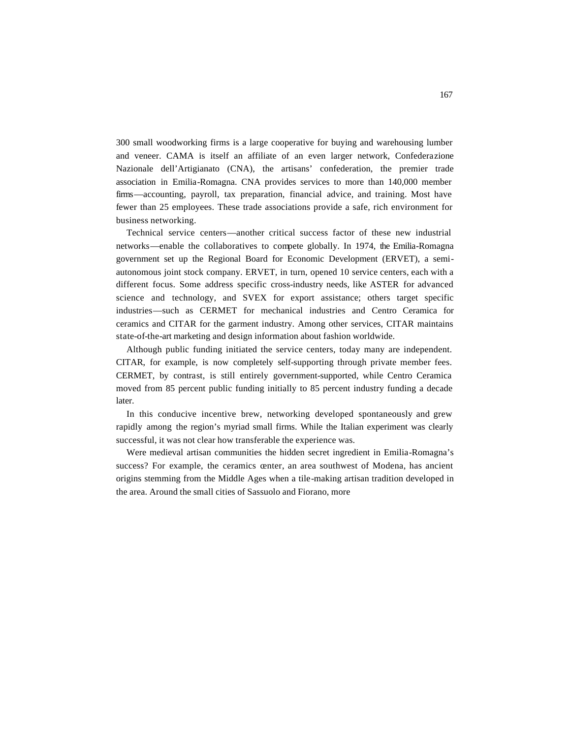300 small woodworking firms is a large cooperative for buying and warehousing lumber and veneer. CAMA is itself an affiliate of an even larger network, Confederazione Nazionale dell'Artigianato (CNA), the artisans' confederation, the premier trade association in Emilia-Romagna. CNA provides services to more than 140,000 member firms—accounting, payroll, tax preparation, financial advice, and training. Most have fewer than 25 employees. These trade associations provide a safe, rich environment for business networking.

Technical service centers—another critical success factor of these new industrial networks—enable the collaboratives to compete globally. In 1974, the Emilia-Romagna government set up the Regional Board for Economic Development (ERVET), a semiautonomous joint stock company. ERVET, in turn, opened 10 service centers, each with a different focus. Some address specific cross-industry needs, like ASTER for advanced science and technology, and SVEX for export assistance; others target specific industries—such as CERMET for mechanical industries and Centro Ceramica for ceramics and CITAR for the garment industry. Among other services, CITAR maintains state-of-the-art marketing and design information about fashion worldwide.

Although public funding initiated the service centers, today many are independent. CITAR, for example, is now completely self-supporting through private member fees. CERMET, by contrast, is still entirely government-supported, while Centro Ceramica moved from 85 percent public funding initially to 85 percent industry funding a decade later.

In this conducive incentive brew, networking developed spontaneously and grew rapidly among the region's myriad small firms. While the Italian experiment was clearly successful, it was not clear how transferable the experience was.

Were medieval artisan communities the hidden secret ingredient in Emilia-Romagna's success? For example, the ceramics center, an area southwest of Modena, has ancient origins stemming from the Middle Ages when a tile-making artisan tradition developed in the area. Around the small cities of Sassuolo and Fiorano, more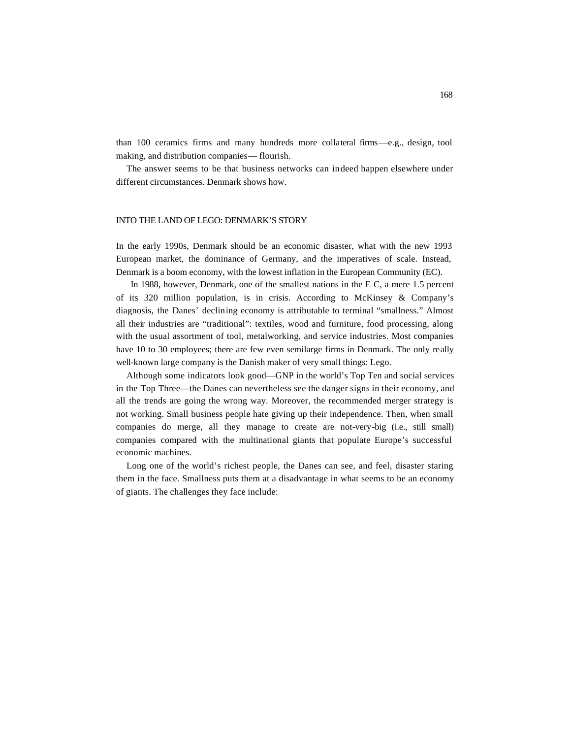than 100 ceramics firms and many hundreds more collateral firms—e.g., design, tool making, and distribution companies— flourish.

The answer seems to be that business networks can indeed happen elsewhere under different circumstances. Denmark shows how.

## INTO THE LAND OF LEGO: DENMARK'S STORY

In the early 1990s, Denmark should be an economic disaster, what with the new 1993 European market, the dominance of Germany, and the imperatives of scale. Instead, Denmark is a boom economy, with the lowest inflation in the European Community (EC).

In 1988, however, Denmark, one of the smallest nations in the E C, a mere 1.5 percent of its 320 million population, is in crisis. According to McKinsey & Company's diagnosis, the Danes' declining economy is attributable to terminal "smallness." Almost all their industries are "traditional": textiles, wood and furniture, food processing, along with the usual assortment of tool, metalworking, and service industries. Most companies have 10 to 30 employees; there are few even semilarge firms in Denmark. The only really well-known large company is the Danish maker of very small things: Lego.

Although some indicators look good—GNP in the world's Top Ten and social services in the Top Three—the Danes can nevertheless see the danger signs in their economy, and all the trends are going the wrong way. Moreover, the recommended merger strategy is not working. Small business people hate giving up their independence. Then, when small companies do merge, all they manage to create are not-very-big (i.e., still small) companies compared with the multinational giants that populate Europe's successful economic machines.

Long one of the world's richest people, the Danes can see, and feel, disaster staring them in the face. Smallness puts them at a disadvantage in what seems to be an economy of giants. The challenges they face include: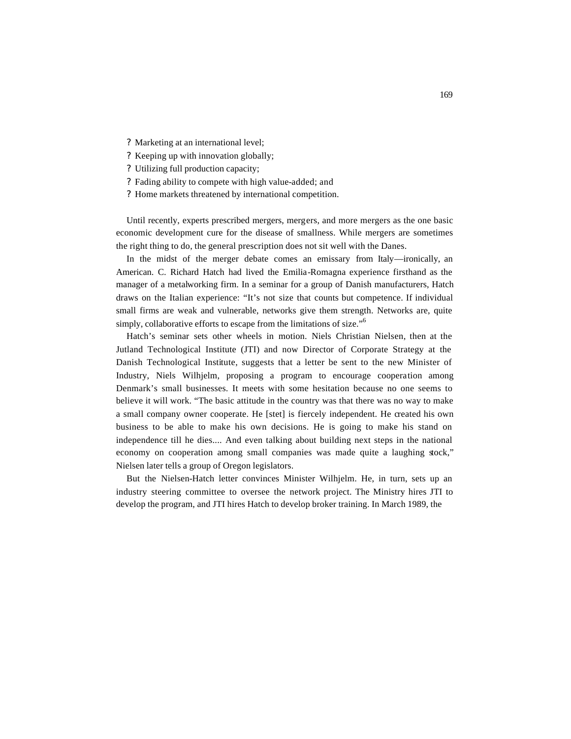- ? Marketing at an international level;
- ? Keeping up with innovation globally;
- ? Utilizing full production capacity;
- ? Fading ability to compete with high value-added; and
- ? Home markets threatened by international competition.

Until recently, experts prescribed mergers, mergers, and more mergers as the one basic economic development cure for the disease of smallness. While mergers are sometimes the right thing to do, the general prescription does not sit well with the Danes.

In the midst of the merger debate comes an emissary from Italy—ironically, an American. C. Richard Hatch had lived the Emilia-Romagna experience firsthand as the manager of a metalworking firm. In a seminar for a group of Danish manufacturers, Hatch draws on the Italian experience: "It's not size that counts but competence. If individual small firms are weak and vulnerable, networks give them strength. Networks are, quite simply, collaborative efforts to escape from the limitations of size."<sup>6</sup>

Hatch's seminar sets other wheels in motion. Niels Christian Nielsen, then at the Jutland Technological Institute (JTI) and now Director of Corporate Strategy at the Danish Technological Institute, suggests that a letter be sent to the new Minister of Industry, Niels Wilhjelm, proposing a program to encourage cooperation among Denmark's small businesses. It meets with some hesitation because no one seems to believe it will work. "The basic attitude in the country was that there was no way to make a small company owner cooperate. He [stet] is fiercely independent. He created his own business to be able to make his own decisions. He is going to make his stand on independence till he dies.... And even talking about building next steps in the national economy on cooperation among small companies was made quite a laughing stock," Nielsen later tells a group of Oregon legislators.

But the Nielsen-Hatch letter convinces Minister Wilhjelm. He, in turn, sets up an industry steering committee to oversee the network project. The Ministry hires JTI to develop the program, and JTI hires Hatch to develop broker training. In March 1989, the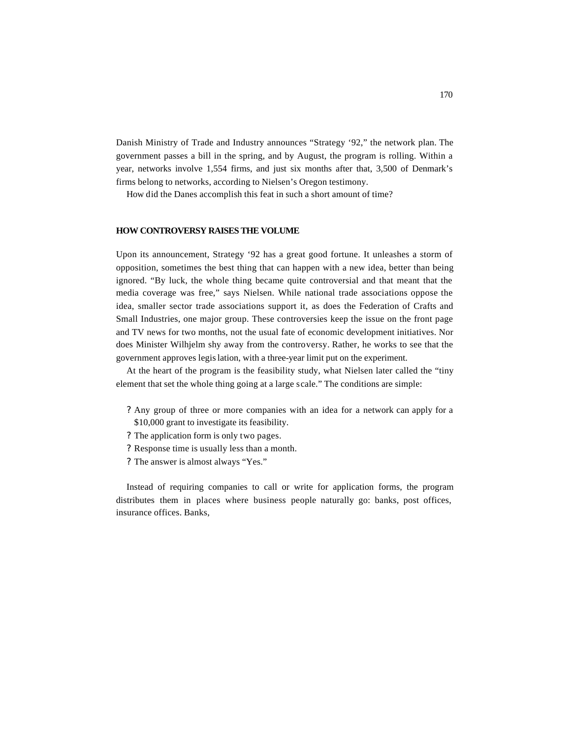Danish Ministry of Trade and Industry announces "Strategy '92," the network plan. The government passes a bill in the spring, and by August, the program is rolling. Within a year, networks involve 1,554 firms, and just six months after that, 3,500 of Denmark's firms belong to networks, according to Nielsen's Oregon testimony.

How did the Danes accomplish this feat in such a short amount of time?

# **HOW CONTROVERSY RAISES THE VOLUME**

Upon its announcement, Strategy '92 has a great good fortune. It unleashes a storm of opposition, sometimes the best thing that can happen with a new idea, better than being ignored. "By luck, the whole thing became quite controversial and that meant that the media coverage was free," says Nielsen. While national trade associations oppose the idea, smaller sector trade associations support it, as does the Federation of Crafts and Small Industries, one major group. These controversies keep the issue on the front page and TV news for two months, not the usual fate of economic development initiatives. Nor does Minister Wilhjelm shy away from the controversy. Rather, he works to see that the government approves legislation, with a three-year limit put on the experiment.

At the heart of the program is the feasibility study, what Nielsen later called the "tiny element that set the whole thing going at a large scale." The conditions are simple:

- ? Any group of three or more companies with an idea for a network can apply for a \$10,000 grant to investigate its feasibility.
- ? The application form is only two pages.
- ? Response time is usually less than a month.
- ? The answer is almost always "Yes."

Instead of requiring companies to call or write for application forms, the program distributes them in places where business people naturally go: banks, post offices, insurance offices. Banks,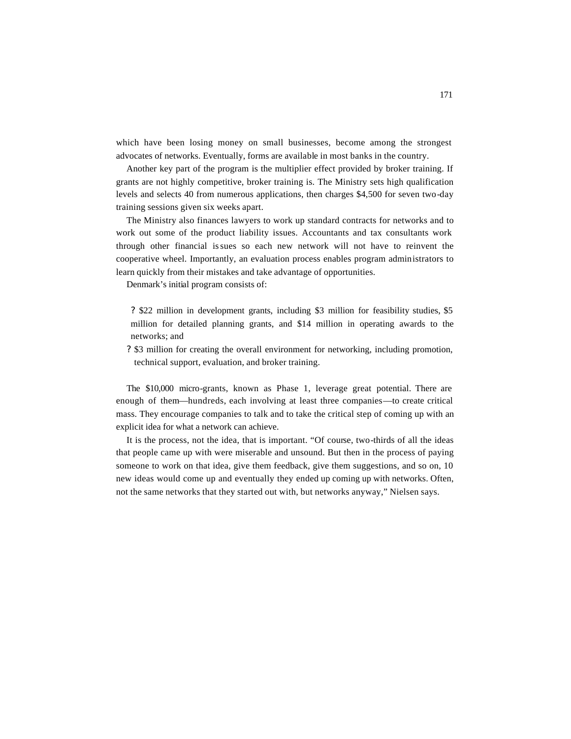which have been losing money on small businesses, become among the strongest advocates of networks. Eventually, forms are available in most banks in the country.

Another key part of the program is the multiplier effect provided by broker training. If grants are not highly competitive, broker training is. The Ministry sets high qualification levels and selects 40 from numerous applications, then charges \$4,500 for seven two-day training sessions given six weeks apart.

The Ministry also finances lawyers to work up standard contracts for networks and to work out some of the product liability issues. Accountants and tax consultants work through other financial issues so each new network will not have to reinvent the cooperative wheel. Importantly, an evaluation process enables program administrators to learn quickly from their mistakes and take advantage of opportunities.

Denmark's initial program consists of:

? \$22 million in development grants, including \$3 million for feasibility studies, \$5 million for detailed planning grants, and \$14 million in operating awards to the networks; and

? \$3 million for creating the overall environment for networking, including promotion, technical support, evaluation, and broker training.

The \$10,000 micro-grants, known as Phase 1, leverage great potential. There are enough of them—hundreds, each involving at least three companies—to create critical mass. They encourage companies to talk and to take the critical step of coming up with an explicit idea for what a network can achieve.

It is the process, not the idea, that is important. "Of course, two-thirds of all the ideas that people came up with were miserable and unsound. But then in the process of paying someone to work on that idea, give them feedback, give them suggestions, and so on, 10 new ideas would come up and eventually they ended up coming up with networks. Often, not the same networks that they started out with, but networks anyway," Nielsen says.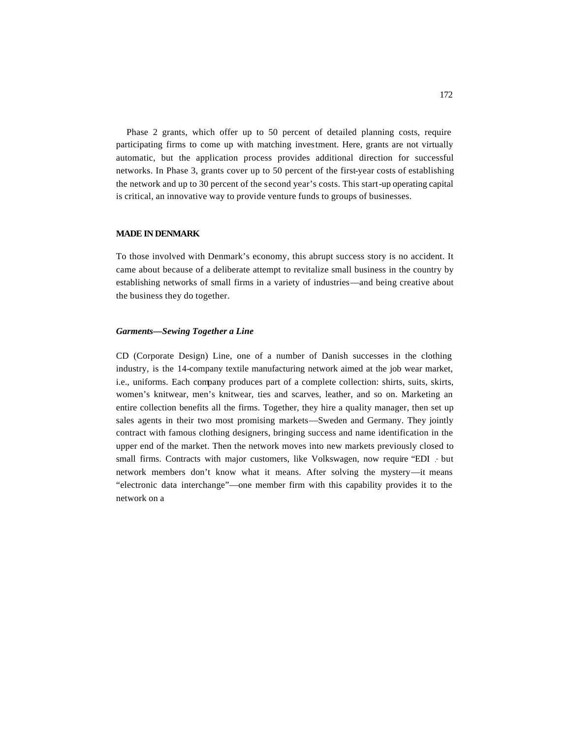Phase 2 grants, which offer up to 50 percent of detailed planning costs, require participating firms to come up with matching investment. Here, grants are not virtually automatic, but the application process provides additional direction for successful networks. In Phase 3, grants cover up to 50 percent of the first-year costs of establishing the network and up to 30 percent of the second year's costs. This start-up operating capital is critical, an innovative way to provide venture funds to groups of businesses.

#### **MADE IN DENMARK**

To those involved with Denmark's economy, this abrupt success story is no accident. It came about because of a deliberate attempt to revitalize small business in the country by establishing networks of small firms in a variety of industries—and being creative about the business they do together.

#### *Garments—Sewing Together a Line*

CD (Corporate Design) Line, one of a number of Danish successes in the clothing industry, is the 14-company textile manufacturing network aimed at the job wear market, i.e., uniforms. Each company produces part of a complete collection: shirts, suits, skirts, women's knitwear, men's knitwear, ties and scarves, leather, and so on. Marketing an entire collection benefits all the firms. Together, they hire a quality manager, then set up sales agents in their two most promising markets—Sweden and Germany. They jointly contract with famous clothing designers, bringing success and name identification in the upper end of the market. Then the network moves into new markets previously closed to small firms. Contracts with major customers, like Volkswagen, now require "EDI  $\cdot$ " but network members don't know what it means. After solving the mystery—it means "electronic data interchange"—one member firm with this capability provides it to the network on a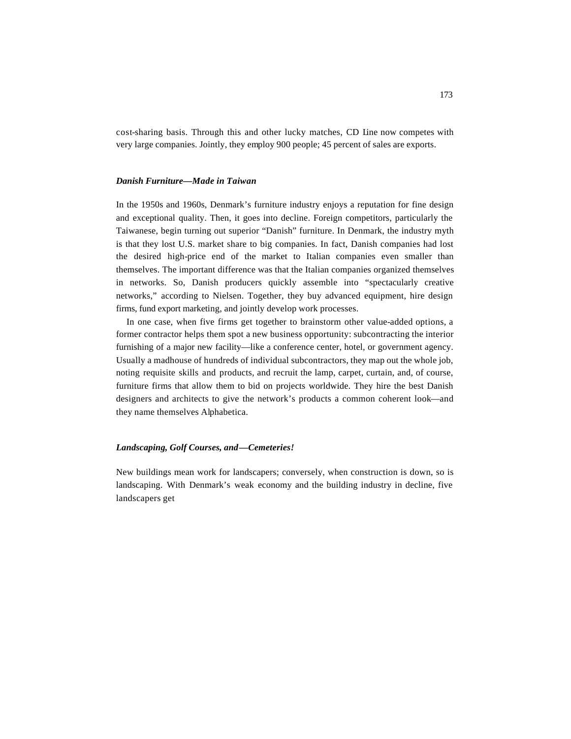cost-sharing basis. Through this and other lucky matches, CD Line now competes with very large companies. Jointly, they employ 900 people; 45 percent of sales are exports.

## *Danish Furniture—Made in Taiwan*

In the 1950s and 1960s, Denmark's furniture industry enjoys a reputation for fine design and exceptional quality. Then, it goes into decline. Foreign competitors, particularly the Taiwanese, begin turning out superior "Danish" furniture. In Denmark, the industry myth is that they lost U.S. market share to big companies. In fact, Danish companies had lost the desired high-price end of the market to Italian companies even smaller than themselves. The important difference was that the Italian companies organized themselves in networks. So, Danish producers quickly assemble into "spectacularly creative networks," according to Nielsen. Together, they buy advanced equipment, hire design firms, fund export marketing, and jointly develop work processes.

In one case, when five firms get together to brainstorm other value-added options, a former contractor helps them spot a new business opportunity: subcontracting the interior furnishing of a major new facility—like a conference center, hotel, or government agency. Usually a madhouse of hundreds of individual subcontractors, they map out the whole job, noting requisite skills and products, and recruit the lamp, carpet, curtain, and, of course, furniture firms that allow them to bid on projects worldwide. They hire the best Danish designers and architects to give the network's products a common coherent look—and they name themselves Alphabetica.

### *Landscaping, Golf Courses, and—Cemeteries!*

New buildings mean work for landscapers; conversely, when construction is down, so is landscaping. With Denmark's weak economy and the building industry in decline, five landscapers get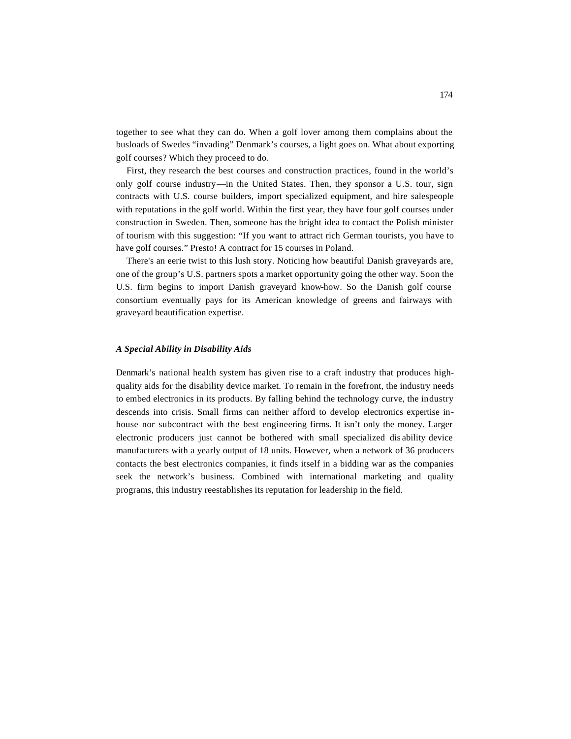together to see what they can do. When a golf lover among them complains about the busloads of Swedes "invading" Denmark's courses, a light goes on. What about exporting golf courses? Which they proceed to do.

First, they research the best courses and construction practices, found in the world's only golf course industry—in the United States. Then, they sponsor a U.S. tour, sign contracts with U.S. course builders, import specialized equipment, and hire salespeople with reputations in the golf world. Within the first year, they have four golf courses under construction in Sweden. Then, someone has the bright idea to contact the Polish minister of tourism with this suggestion: "If you want to attract rich German tourists, you have to have golf courses." Presto! A contract for 15 courses in Poland.

There's an eerie twist to this lush story. Noticing how beautiful Danish graveyards are, one of the group's U.S. partners spots a market opportunity going the other way. Soon the U.S. firm begins to import Danish graveyard know-how. So the Danish golf course consortium eventually pays for its American knowledge of greens and fairways with graveyard beautification expertise.

#### *A Special Ability in Disability Aids*

Denmark's national health system has given rise to a craft industry that produces highquality aids for the disability device market. To remain in the forefront, the industry needs to embed electronics in its products. By falling behind the technology curve, the industry descends into crisis. Small firms can neither afford to develop electronics expertise inhouse nor subcontract with the best engineering firms. It isn't only the money. Larger electronic producers just cannot be bothered with small specialized dis ability device manufacturers with a yearly output of 18 units. However, when a network of 36 producers contacts the best electronics companies, it finds itself in a bidding war as the companies seek the network's business. Combined with international marketing and quality programs, this industry reestablishes its reputation for leadership in the field.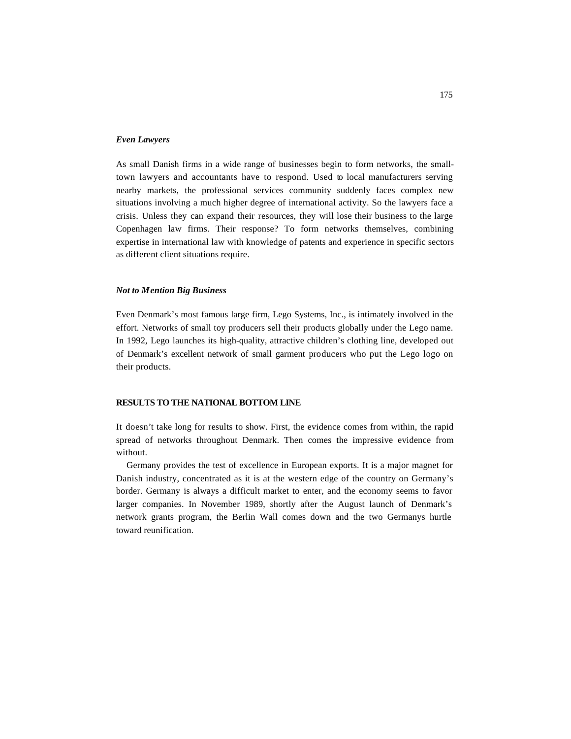#### *Even Lawyers*

As small Danish firms in a wide range of businesses begin to form networks, the smalltown lawyers and accountants have to respond. Used to local manufacturers serving nearby markets, the professional services community suddenly faces complex new situations involving a much higher degree of international activity. So the lawyers face a crisis. Unless they can expand their resources, they will lose their business to the large Copenhagen law firms. Their response? To form networks themselves, combining expertise in international law with knowledge of patents and experience in specific sectors as different client situations require.

#### *Not to Mention Big Business*

Even Denmark's most famous large firm, Lego Systems, Inc., is intimately involved in the effort. Networks of small toy producers sell their products globally under the Lego name. In 1992, Lego launches its high-quality, attractive children's clothing line, developed out of Denmark's excellent network of small garment producers who put the Lego logo on their products.

# **RESULTS TO THE NATIONAL BOTTOM LINE**

It doesn't take long for results to show. First, the evidence comes from within, the rapid spread of networks throughout Denmark. Then comes the impressive evidence from without.

Germany provides the test of excellence in European exports. It is a major magnet for Danish industry, concentrated as it is at the western edge of the country on Germany's border. Germany is always a difficult market to enter, and the economy seems to favor larger companies. In November 1989, shortly after the August launch of Denmark's network grants program, the Berlin Wall comes down and the two Germanys hurtle toward reunification.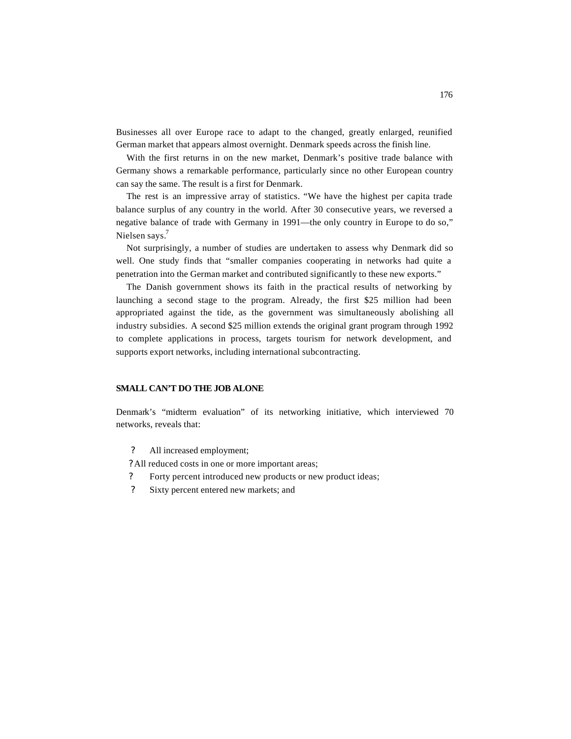Businesses all over Europe race to adapt to the changed, greatly enlarged, reunified German market that appears almost overnight. Denmark speeds across the finish line.

With the first returns in on the new market, Denmark's positive trade balance with Germany shows a remarkable performance, particularly since no other European country can say the same. The result is a first for Denmark.

The rest is an impressive array of statistics. "We have the highest per capita trade balance surplus of any country in the world. After 30 consecutive years, we reversed a negative balance of trade with Germany in 1991—the only country in Europe to do so," Nielsen says.<sup>7</sup>

Not surprisingly, a number of studies are undertaken to assess why Denmark did so well. One study finds that "smaller companies cooperating in networks had quite a penetration into the German market and contributed significantly to these new exports."

The Danish government shows its faith in the practical results of networking by launching a second stage to the program. Already, the first \$25 million had been appropriated against the tide, as the government was simultaneously abolishing all industry subsidies. A second \$25 million extends the original grant program through 1992 to complete applications in process, targets tourism for network development, and supports export networks, including international subcontracting.

# **SMALL CAN'T DO THE JOB ALONE**

Denmark's "midterm evaluation" of its networking initiative, which interviewed 70 networks, reveals that:

? All increased employment;

? All reduced costs in one or more important areas;

- ? Forty percent introduced new products or new product ideas;
- ? Sixty percent entered new markets; and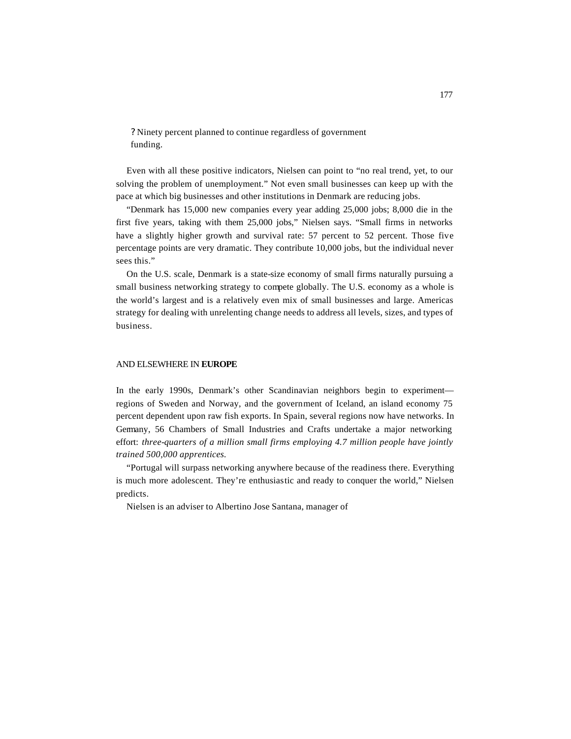? Ninety percent planned to continue regardless of government funding.

Even with all these positive indicators, Nielsen can point to "no real trend, yet, to our solving the problem of unemployment." Not even small businesses can keep up with the pace at which big businesses and other institutions in Denmark are reducing jobs.

"Denmark has 15,000 new companies every year adding 25,000 jobs; 8,000 die in the first five years, taking with them 25,000 jobs," Nielsen says. "Small firms in networks have a slightly higher growth and survival rate: 57 percent to 52 percent. Those five percentage points are very dramatic. They contribute 10,000 jobs, but the individual never sees this."

On the U.S. scale, Denmark is a state-size economy of small firms naturally pursuing a small business networking strategy to compete globally. The U.S. economy as a whole is the world's largest and is a relatively even mix of small businesses and large. Americas strategy for dealing with unrelenting change needs to address all levels, sizes, and types of business.

#### AND ELSEWHERE IN **EUROPE**

In the early 1990s, Denmark's other Scandinavian neighbors begin to experiment regions of Sweden and Norway, and the government of Iceland, an island economy 75 percent dependent upon raw fish exports. In Spain, several regions now have networks. In Germany, 56 Chambers of Small Industries and Crafts undertake a major networking effort: *three-quarters of a million small firms employing 4.7 million people have jointly trained 500,000 apprentices.*

"Portugal will surpass networking anywhere because of the readiness there. Everything is much more adolescent. They're enthusiastic and ready to conquer the world," Nielsen predicts.

Nielsen is an adviser to Albertino Jose Santana, manager of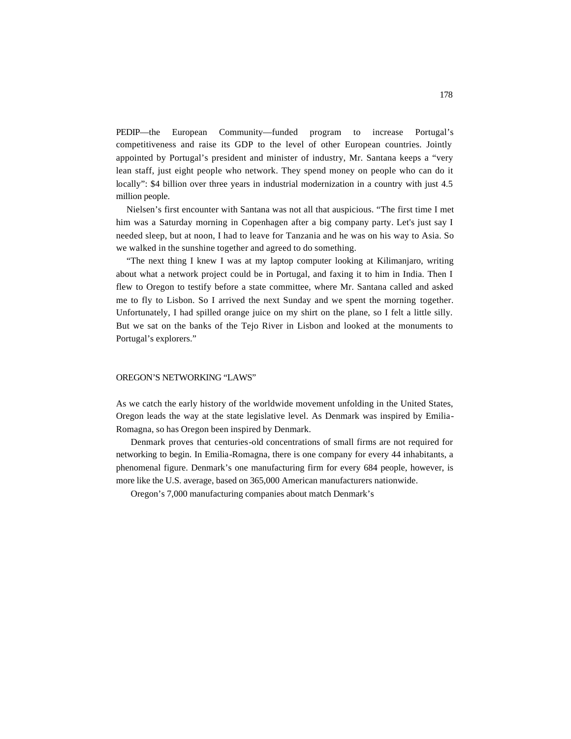PEDIP—the European Community—funded program to increase Portugal's competitiveness and raise its GDP to the level of other European countries. Jointly appointed by Portugal's president and minister of industry, Mr. Santana keeps a "very lean staff, just eight people who network. They spend money on people who can do it locally": \$4 billion over three years in industrial modernization in a country with just 4.5 million people.

Nielsen's first encounter with Santana was not all that auspicious. "The first time I met him was a Saturday morning in Copenhagen after a big company party. Let's just say I needed sleep, but at noon, I had to leave for Tanzania and he was on his way to Asia. So we walked in the sunshine together and agreed to do something.

"The next thing I knew I was at my laptop computer looking at Kilimanjaro, writing about what a network project could be in Portugal, and faxing it to him in India. Then I flew to Oregon to testify before a state committee, where Mr. Santana called and asked me to fly to Lisbon. So I arrived the next Sunday and we spent the morning together. Unfortunately, I had spilled orange juice on my shirt on the plane, so I felt a little silly. But we sat on the banks of the Tejo River in Lisbon and looked at the monuments to Portugal's explorers."

#### OREGON'S NETWORKING "LAWS"

As we catch the early history of the worldwide movement unfolding in the United States, Oregon leads the way at the state legislative level. As Denmark was inspired by Emilia-Romagna, so has Oregon been inspired by Denmark.

Denmark proves that centuries-old concentrations of small firms are not required for networking to begin. In Emilia-Romagna, there is one company for every 44 inhabitants, a phenomenal figure. Denmark's one manufacturing firm for every 684 people, however, is more like the U.S. average, based on 365,000 American manufacturers nationwide.

Oregon's 7,000 manufacturing companies about match Denmark's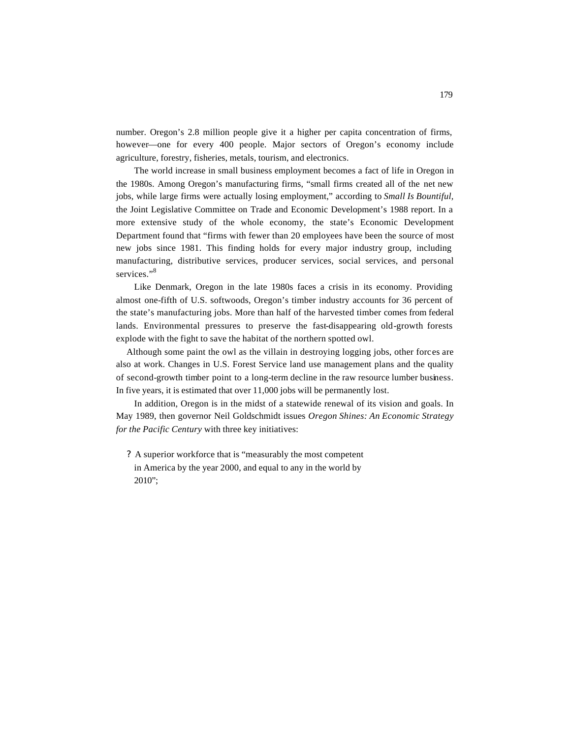number. Oregon's 2.8 million people give it a higher per capita concentration of firms, however—one for every 400 people. Major sectors of Oregon's economy include agriculture, forestry, fisheries, metals, tourism, and electronics.

The world increase in small business employment becomes a fact of life in Oregon in the 1980s. Among Oregon's manufacturing firms, "small firms created all of the net new jobs, while large firms were actually losing employment," according to *Small Is Bountiful,*  the Joint Legislative Committee on Trade and Economic Development's 1988 report. In a more extensive study of the whole economy, the state's Economic Development Department found that "firms with fewer than 20 employees have been the source of most new jobs since 1981. This finding holds for every major industry group, including manufacturing, distributive services, producer services, social services, and personal services."<sup>8</sup>

Like Denmark, Oregon in the late 1980s faces a crisis in its economy. Providing almost one-fifth of U.S. softwoods, Oregon's timber industry accounts for 36 percent of the state's manufacturing jobs. More than half of the harvested timber comes from federal lands. Environmental pressures to preserve the fast-disappearing old-growth forests explode with the fight to save the habitat of the northern spotted owl.

Although some paint the owl as the villain in destroying logging jobs, other forces are also at work. Changes in U.S. Forest Service land use management plans and the quality of second-growth timber point to a long-term decline in the raw resource lumber business. In five years, it is estimated that over 11,000 jobs will be permanently lost.

In addition, Oregon is in the midst of a statewide renewal of its vision and goals. In May 1989, then governor Neil Goldschmidt issues *Oregon Shines: An Economic Strategy for the Pacific Century* with three key initiatives:

? A superior workforce that is "measurably the most competent in America by the year 2000, and equal to any in the world by 2010";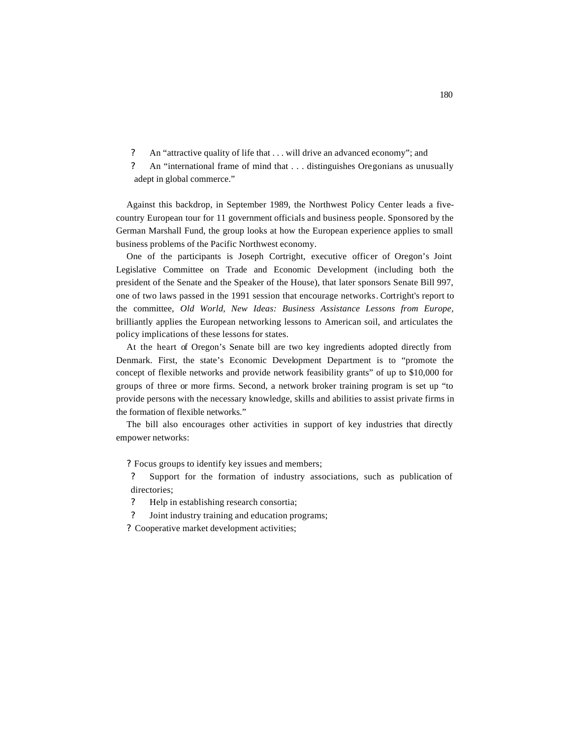? An "attractive quality of life that . . . will drive an advanced economy"; and

? An "international frame of mind that . . . distinguishes Oregonians as unusually adept in global commerce."

Against this backdrop, in September 1989, the Northwest Policy Center leads a fivecountry European tour for 11 government officials and business people. Sponsored by the German Marshall Fund, the group looks at how the European experience applies to small business problems of the Pacific Northwest economy.

One of the participants is Joseph Cortright, executive officer of Oregon's Joint Legislative Committee on Trade and Economic Development (including both the president of the Senate and the Speaker of the House), that later sponsors Senate Bill 997, one of two laws passed in the 1991 session that encourage networks. Cortright's report to the committee, *Old World, New Ideas: Business Assistance Lessons from Europe,* brilliantly applies the European networking lessons to American soil, and articulates the policy implications of these lessons for states.

At the heart of Oregon's Senate bill are two key ingredients adopted directly from Denmark. First, the state's Economic Development Department is to "promote the concept of flexible networks and provide network feasibility grants" of up to \$10,000 for groups of three or more firms. Second, a network broker training program is set up "to provide persons with the necessary knowledge, skills and abilities to assist private firms in the formation of flexible networks."

The bill also encourages other activities in support of key industries that directly empower networks:

? Focus groups to identify key issues and members;

? Support for the formation of industry associations, such as publication of directories;

? Help in establishing research consortia;

? Joint industry training and education programs;

? Cooperative market development activities;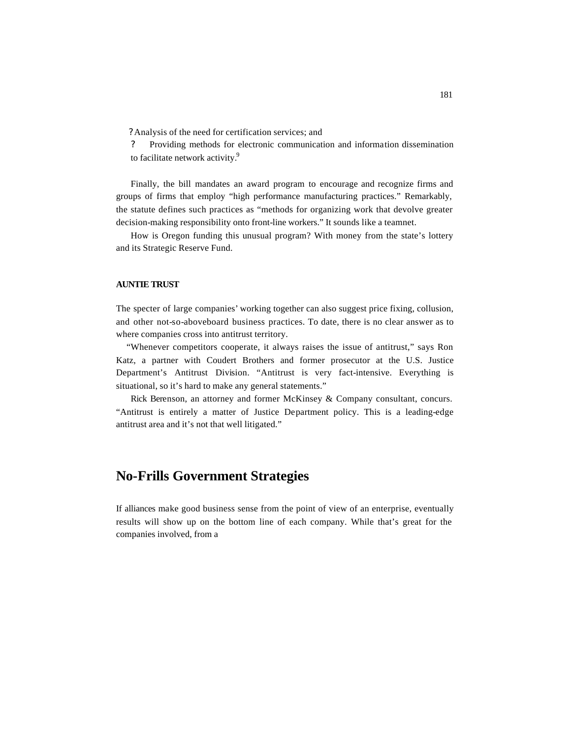? Analysis of the need for certification services; and

? Providing methods for electronic communication and information dissemination to facilitate network activity.<sup>9</sup>

Finally, the bill mandates an award program to encourage and recognize firms and groups of firms that employ "high performance manufacturing practices." Remarkably, the statute defines such practices as "methods for organizing work that devolve greater decision-making responsibility onto front-line workers." It sounds like a teamnet.

How is Oregon funding this unusual program? With money from the state's lottery and its Strategic Reserve Fund.

# **AUNTIE TRUST**

The specter of large companies' working together can also suggest price fixing, collusion, and other not-so-aboveboard business practices. To date, there is no clear answer as to where companies cross into antitrust territory.

"Whenever competitors cooperate, it always raises the issue of antitrust," says Ron Katz, a partner with Coudert Brothers and former prosecutor at the U.S. Justice Department's Antitrust Division. "Antitrust is very fact-intensive. Everything is situational, so it's hard to make any general statements."

Rick Berenson, an attorney and former McKinsey & Company consultant, concurs. "Antitrust is entirely a matter of Justice Department policy. This is a leading-edge antitrust area and it's not that well litigated."

# **No-Frills Government Strategies**

If alliances make good business sense from the point of view of an enterprise, eventually results will show up on the bottom line of each company. While that's great for the companies involved, from a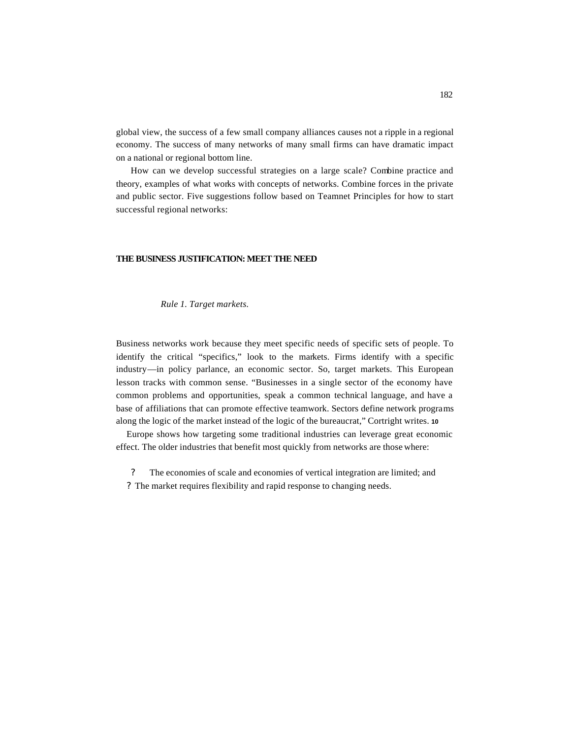global view, the success of a few small company alliances causes not a ripple in a regional economy. The success of many networks of many small firms can have dramatic impact on a national or regional bottom line.

How can we develop successful strategies on a large scale? Combine practice and theory, examples of what works with concepts of networks. Combine forces in the private and public sector. Five suggestions follow based on Teamnet Principles for how to start successful regional networks:

#### **THE BUSINESS JUSTIFICATION: MEET THE NEED**

*Rule 1. Target markets.*

Business networks work because they meet specific needs of specific sets of people. To identify the critical "specifics," look to the markets. Firms identify with a specific industry—in policy parlance, an economic sector. So, target markets. This European lesson tracks with common sense. "Businesses in a single sector of the economy have common problems and opportunities, speak a common technical language, and have a base of affiliations that can promote effective teamwork. Sectors define network programs along the logic of the market instead of the logic of the bureaucrat," Cortright writes. **<sup>10</sup>**

Europe shows how targeting some traditional industries can leverage great economic effect. The older industries that benefit most quickly from networks are those where:

? The economies of scale and economies of vertical integration are limited; and ? The market requires flexibility and rapid response to changing needs.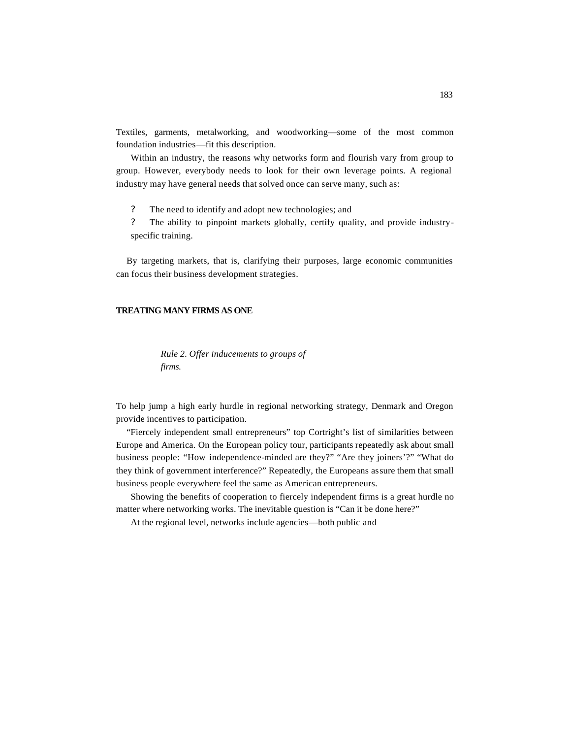Textiles, garments, metalworking, and woodworking—some of the most common foundation industries—fit this description.

Within an industry, the reasons why networks form and flourish vary from group to group. However, everybody needs to look for their own leverage points. A regional industry may have general needs that solved once can serve many, such as:

? The need to identify and adopt new technologies; and

? The ability to pinpoint markets globally, certify quality, and provide industryspecific training.

By targeting markets, that is, clarifying their purposes, large economic communities can focus their business development strategies.

#### **TREATING MANY FIRMS AS ONE**

*Rule 2. Offer inducements to groups of firms.*

To help jump a high early hurdle in regional networking strategy, Denmark and Oregon provide incentives to participation.

"Fiercely independent small entrepreneurs" top Cortright's list of similarities between Europe and America. On the European policy tour, participants repeatedly ask about small business people: "How independence-minded are they?" "Are they joiners'?" "What do they think of government interference?" Repeatedly, the Europeans assure them that small business people everywhere feel the same as American entrepreneurs.

Showing the benefits of cooperation to fiercely independent firms is a great hurdle no matter where networking works. The inevitable question is "Can it be done here?"

At the regional level, networks include agencies—both public and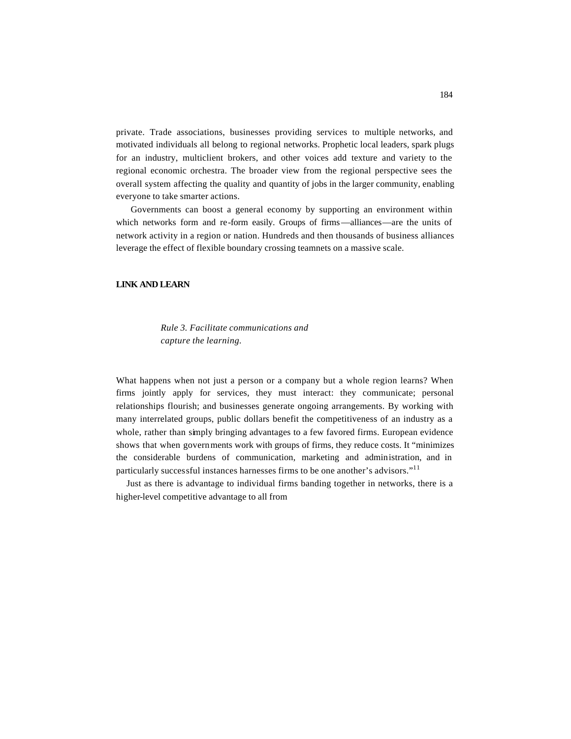private. Trade associations, businesses providing services to multiple networks, and motivated individuals all belong to regional networks. Prophetic local leaders, spark plugs for an industry, multiclient brokers, and other voices add texture and variety to the regional economic orchestra. The broader view from the regional perspective sees the overall system affecting the quality and quantity of jobs in the larger community, enabling everyone to take smarter actions.

Governments can boost a general economy by supporting an environment within which networks form and re-form easily. Groups of firms—alliances—are the units of network activity in a region or nation. Hundreds and then thousands of business alliances leverage the effect of flexible boundary crossing teamnets on a massive scale.

# **LINK AND LEARN**

*Rule 3. Facilitate communications and capture the learning.*

What happens when not just a person or a company but a whole region learns? When firms jointly apply for services, they must interact: they communicate; personal relationships flourish; and businesses generate ongoing arrangements. By working with many interrelated groups, public dollars benefit the competitiveness of an industry as a whole, rather than simply bringing advantages to a few favored firms. European evidence shows that when governments work with groups of firms, they reduce costs. It "minimizes the considerable burdens of communication, marketing and administration, and in particularly successful instances harnesses firms to be one another's advisors."<sup>11</sup>

Just as there is advantage to individual firms banding together in networks, there is a higher-level competitive advantage to all from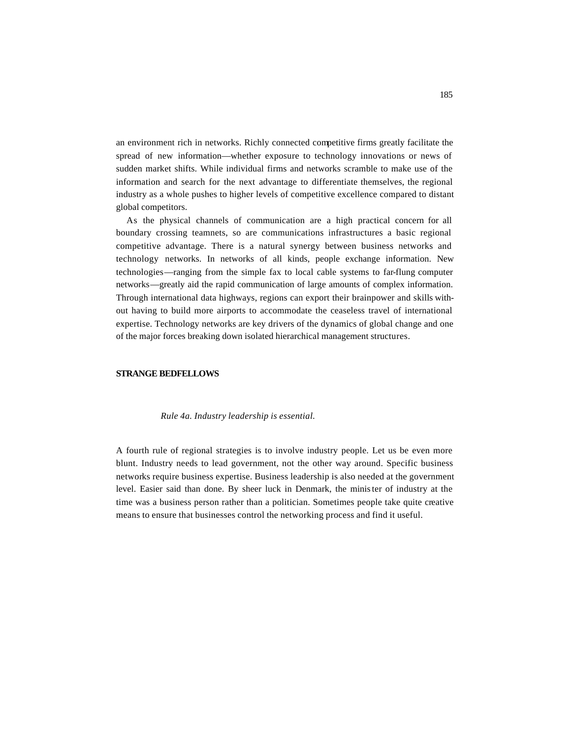an environment rich in networks. Richly connected competitive firms greatly facilitate the spread of new information—whether exposure to technology innovations or news of sudden market shifts. While individual firms and networks scramble to make use of the information and search for the next advantage to differentiate themselves, the regional industry as a whole pushes to higher levels of competitive excellence compared to distant global competitors.

 As the physical channels of communication are a high practical concern for all boundary crossing teamnets, so are communications infrastructures a basic regional competitive advantage. There is a natural synergy between business networks and technology networks. In networks of all kinds, people exchange information. New technologies—ranging from the simple fax to local cable systems to far-flung computer networks—greatly aid the rapid communication of large amounts of complex information. Through international data highways, regions can export their brainpower and skills without having to build more airports to accommodate the ceaseless travel of international expertise. Technology networks are key drivers of the dynamics of global change and one of the major forces breaking down isolated hierarchical management structures.

#### **STRANGE BEDFELLOWS**

#### *Rule 4a. Industry leadership is essential.*

A fourth rule of regional strategies is to involve industry people. Let us be even more blunt. Industry needs to lead government, not the other way around. Specific business networks require business expertise. Business leadership is also needed at the government level. Easier said than done. By sheer luck in Denmark, the minister of industry at the time was a business person rather than a politician. Sometimes people take quite creative means to ensure that businesses control the networking process and find it useful.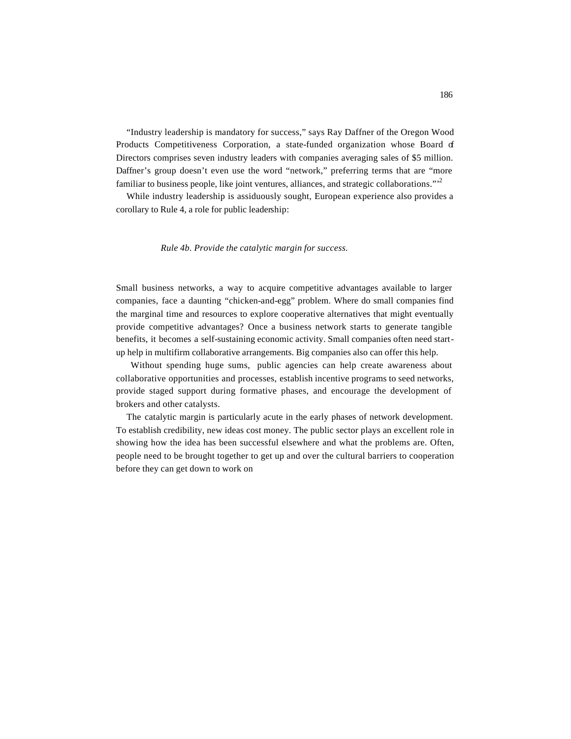"Industry leadership is mandatory for success," says Ray Daffner of the Oregon Wood Products Competitiveness Corporation, a state-funded organization whose Board of Directors comprises seven industry leaders with companies averaging sales of \$5 million. Daffner's group doesn't even use the word "network," preferring terms that are "more familiar to business people, like joint ventures, alliances, and strategic collaborations."<sup>2</sup>

While industry leadership is assiduously sought, European experience also provides a corollary to Rule 4, a role for public leadership:

#### *Rule 4b. Provide the catalytic margin for success.*

Small business networks, a way to acquire competitive advantages available to larger companies, face a daunting "chicken-and-egg" problem. Where do small companies find the marginal time and resources to explore cooperative alternatives that might eventually provide competitive advantages? Once a business network starts to generate tangible benefits, it becomes a self-sustaining economic activity. Small companies often need startup help in multifirm collaborative arrangements. Big companies also can offer this help.

Without spending huge sums, public agencies can help create awareness about collaborative opportunities and processes, establish incentive programs to seed networks, provide staged support during formative phases, and encourage the development of brokers and other catalysts.

The catalytic margin is particularly acute in the early phases of network development. To establish credibility, new ideas cost money. The public sector plays an excellent role in showing how the idea has been successful elsewhere and what the problems are. Often, people need to be brought together to get up and over the cultural barriers to cooperation before they can get down to work on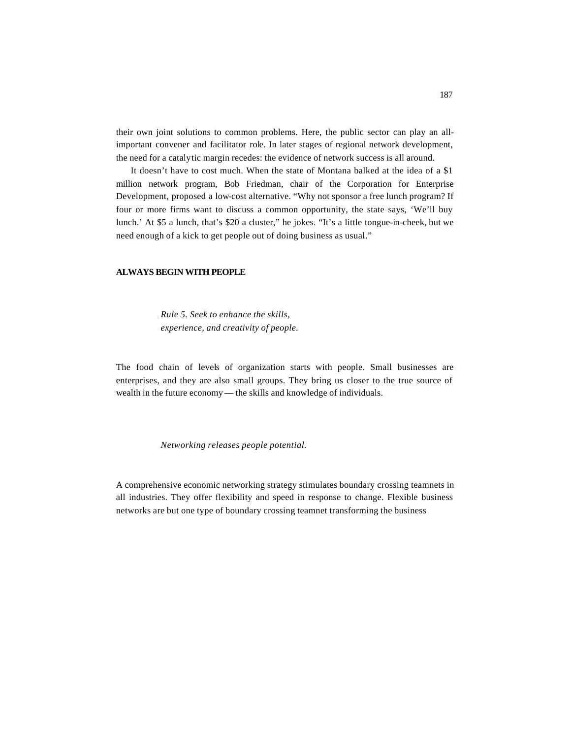their own joint solutions to common problems. Here, the public sector can play an allimportant convener and facilitator role. In later stages of regional network development, the need for a catalytic margin recedes: the evidence of network success is all around.

It doesn't have to cost much. When the state of Montana balked at the idea of a \$1 million network program, Bob Friedman, chair of the Corporation for Enterprise Development, proposed a low-cost alternative. "Why not sponsor a free lunch program? If four or more firms want to discuss a common opportunity, the state says, 'We'll buy lunch.' At \$5 a lunch, that's \$20 a cluster," he jokes. "It's a little tongue-in-cheek, but we need enough of a kick to get people out of doing business as usual."

# **ALWAYS BEGIN WITH PEOPLE**

*Rule 5. Seek to enhance the skills, experience, and creativity of people.*

The food chain of levels of organization starts with people. Small businesses are enterprises, and they are also small groups. They bring us closer to the true source of wealth in the future economy— the skills and knowledge of individuals.

*Networking releases people potential.*

A comprehensive economic networking strategy stimulates boundary crossing teamnets in all industries. They offer flexibility and speed in response to change. Flexible business networks are but one type of boundary crossing teamnet transforming the business